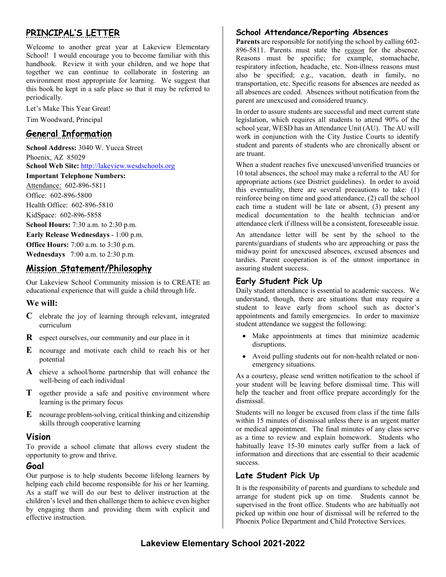# **PRINCIPAL'S LETTER**

Welcome to another great year at Lakeview Elementary School! I would encourage you to become familiar with this handbook. Review it with your children, and we hope that together we can continue to collaborate in fostering an environment most appropriate for learning. We suggest that this book be kept in a safe place so that it may be referred to periodically.

Let's Make This Year Great!

Tim Woodward, Principal

## **General Information**

**School Address:** 3040 W. Yucca Street Phoenix, AZ 85029 **School Web Site:** [http://lakeview.wesdschools.org](http://lakeview.wesdschools.org/) **Important Telephone Numbers:** Attendance: 602-896-5811 Office: 602-896-5800 Health Office: 602-896-5810 KidSpace: 602-896-5858 **School Hours:** 7:30 a.m. to 2:30 p.m. **Early Release Wednesdays** - 1:00 p.m. **Office Hours:** 7:00 a.m. to 3:30 p.m.

**Wednesdays** 7:00 a.m. to 2:30 p.m.

## **Mission Statement/Philosophy**

Our Lakeview School Community mission is to CREATE an educational experience that will guide a child through life.

#### **We will:**

- **C** elebrate the joy of learning through relevant, integrated curriculum
- **R** espect ourselves, our community and our place in it
- **E** ncourage and motivate each child to reach his or her potential
- **A** chieve a school/home partnership that will enhance the well-being of each individual
- **T** ogether provide a safe and positive environment where learning is the primary focus
- **E** ncourage problem-solving, critical thinking and citizenship skills through cooperative learning

## **Vision**

To provide a school climate that allows every student the opportunity to grow and thrive.

## **Goal**

Our purpose is to help students become lifelong learners by helping each child become responsible for his or her learning. As a staff we will do our best to deliver instruction at the children's level and then challenge them to achieve even higher by engaging them and providing them with explicit and effective instruction.

## **School Attendance/Reporting Absences**

**Parents** are responsible for notifying the school by calling 602- 896-5811. Parents must state the *reason* for the absence. Reasons must be specific; for example, stomachache, respiratory infection, headache, etc. Non-illness reasons must also be specified; e.g., vacation, death in family, no transportation, etc. Specific reasons for absences are needed as all absences are coded. Absences without notification from the parent are unexcused and considered truancy.

In order to assure students are successful and meet current state legislation, which requires all students to attend 90% of the school year, WESD has an Attendance Unit (AU). The AU will work in conjunction with the City Justice Courts to identify student and parents of students who are chronically absent or are truant.

When a student reaches five unexcused/unverified truancies or 10 total absences, the school may make a referral to the AU for appropriate actions (see District guidelines). In order to avoid this eventuality, there are several precautions to take: (1) reinforce being on time and good attendance, (2) call the school each time a student will be late or absent, (3) present any medical documentation to the health technician and/or attendance clerk if illness will be a consistent, foreseeable issue.

An attendance letter will be sent by the school to the parents/guardians of students who are approaching or pass the midway point for unexcused absences, excused absences and tardies. Parent cooperation is of the utmost importance in assuring student success.

## **Early Student Pick Up**

Daily student attendance is essential to academic success. We understand, though, there are situations that may require a student to leave early from school such as doctor's appointments and family emergencies. In order to maximize student attendance we suggest the following:

- Make appointments at times that minimize academic disruptions.
- Avoid pulling students out for non-health related or nonemergency situations.

As a courtesy, please send written notification to the school if your student will be leaving before dismissal time. This will help the teacher and front office prepare accordingly for the dismissal.

Students will no longer be excused from class if the time falls within 15 minutes of dismissal unless there is an urgent matter or medical appointment. The final minutes of any class serve as a time to review and explain homework. Students who habitually leave 15-30 minutes early suffer from a lack of information and directions that are essential to their academic success.

## **Late Student Pick Up**

It is the responsibility of parents and guardians to schedule and arrange for student pick up on time. Students cannot be supervised in the front office. Students who are habitually not picked up within one hour of dismissal will be referred to the Phoenix Police Department and Child Protective Services.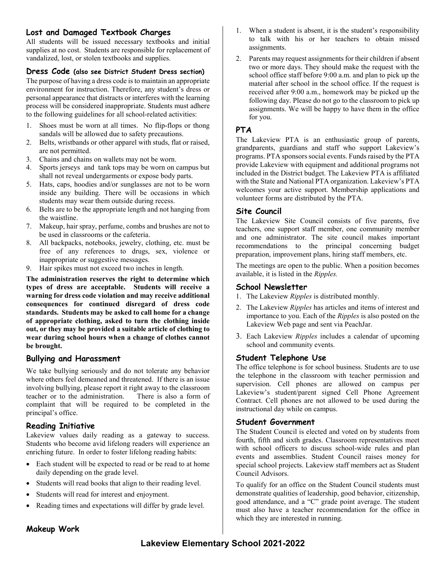## **Lost and Damaged Textbook Charges**

All students will be issued necessary textbooks and initial supplies at no cost. Students are responsible for replacement of vandalized, lost, or stolen textbooks and supplies.

#### **Dress Code (also see District Student Dress section)**

The purpose of having a dress code is to maintain an appropriate environment for instruction. Therefore, any student's dress or personal appearance that distracts or interferes with the learning process will be considered inappropriate. Students must adhere to the following guidelines for all school-related activities:

- 1. Shoes must be worn at all times. No flip-flops or thong sandals will be allowed due to safety precautions.
- 2. Belts, wristbands or other apparel with studs, flat or raised, are not permitted.
- 3. Chains and chains on wallets may not be worn.
- 4. Sports jerseys and tank tops may be worn on campus but shall not reveal undergarments or expose body parts.
- 5. Hats, caps, hoodies and/or sunglasses are not to be worn inside any building. There will be occasions in which students may wear them outside during recess.
- 6. Belts are to be the appropriate length and not hanging from the waistline.
- 7. Makeup, hair spray, perfume, combs and brushes are not to be used in classrooms or the cafeteria.
- 8. All backpacks, notebooks, jewelry, clothing, etc. must be free of any references to drugs, sex, violence or inappropriate or suggestive messages.
- 9. Hair spikes must not exceed two inches in length.

**The administration reserves the right to determine which types of dress are acceptable. Students will receive a warning for dress code violation and may receive additional consequences for continued disregard of dress code standards. Students may be asked to call home for a change of appropriate clothing, asked to turn the clothing inside out, or they may be provided a suitable article of clothing to wear during school hours when a change of clothes cannot be brought.**

## **Bullying and Harassment**

We take bullying seriously and do not tolerate any behavior where others feel demeaned and threatened. If there is an issue involving bullying, please report it right away to the classroom teacher or to the administration. complaint that will be required to be completed in the principal's office.

## **Reading Initiative**

Lakeview values daily reading as a gateway to success. Students who become avid lifelong readers will experience an enriching future. In order to foster lifelong reading habits:

- Each student will be expected to read or be read to at home daily depending on the grade level.
- Students will read books that align to their reading level.
- Students will read for interest and enjoyment.
- Reading times and expectations will differ by grade level.
- 1. When a student is absent, it is the student's responsibility to talk with his or her teachers to obtain missed assignments.
- 2. Parents may request assignments for their children if absent two or more days. They should make the request with the school office staff before 9:00 a.m. and plan to pick up the material after school in the school office. If the request is received after 9:00 a.m., homework may be picked up the following day. Please do not go to the classroom to pick up assignments. We will be happy to have them in the office for you.

## **PTA**

The Lakeview PTA is an enthusiastic group of parents, grandparents, guardians and staff who support Lakeview's programs. PTA sponsors social events. Funds raised by the PTA provide Lakeview with equipment and additional programs not included in the District budget. The Lakeview PTA is affiliated with the State and National PTA organization. Lakeview's PTA welcomes your active support. Membership applications and volunteer forms are distributed by the PTA.

## **Site Council**

The Lakeview Site Council consists of five parents, five teachers, one support staff member, one community member and one administrator. The site council makes important recommendations to the principal concerning budget preparation, improvement plans, hiring staff members, etc.

The meetings are open to the public. When a position becomes available, it is listed in the *Ripples.*

#### **School Newsletter**

- 1. The Lakeview *Ripples* is distributed monthly.
- 2. The Lakeview *Ripples* has articles and items of interest and importance to you. Each of the *Ripples* is also posted on the Lakeview Web page and sent via PeachJar.
- 3. Each Lakeview *Ripples* includes a calendar of upcoming school and community events.

#### **Student Telephone Use**

The office telephone is for school business. Students are to use the telephone in the classroom with teacher permission and supervision. Cell phones are allowed on campus per Lakeview's student/parent signed Cell Phone Agreement Contract. Cell phones are not allowed to be used during the instructional day while on campus.

#### **Student Government**

The Student Council is elected and voted on by students from fourth, fifth and sixth grades. Classroom representatives meet with school officers to discuss school-wide rules and plan events and assemblies. Student Council raises money for special school projects. Lakeview staff members act as Student Council Advisors.

To qualify for an office on the Student Council students must demonstrate qualities of leadership, good behavior, citizenship, good attendance, and a "C" grade point average. The student must also have a teacher recommendation for the office in which they are interested in running.

## **Makeup Work**

## **Lakeview Elementary School 2021-2022**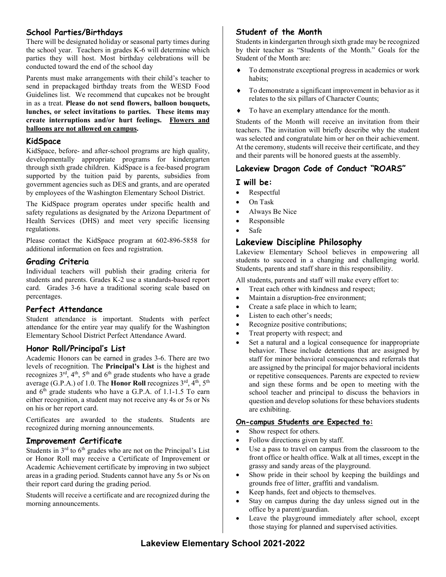## **School Parties/Birthdays**

There will be designated holiday or seasonal party times during the school year. Teachers in grades K-6 will determine which parties they will host. Most birthday celebrations will be conducted toward the end of the school day

Parents must make arrangements with their child's teacher to send in prepackaged birthday treats from the WESD Food Guidelines list. We recommend that cupcakes not be brought in as a treat. **Please do not send flowers, balloon bouquets, lunches, or select invitations to parties. These items may create interruptions and/or hurt feelings. Flowers and balloons are not allowed on campus.** 

#### **KidSpace**

KidSpace, before- and after-school programs are high quality, developmentally appropriate programs for kindergarten through sixth grade children. KidSpace is a fee-based program supported by the tuition paid by parents, subsidies from government agencies such as DES and grants, and are operated by employees of the Washington Elementary School District.

The KidSpace program operates under specific health and safety regulations as designated by the Arizona Department of Health Services (DHS) and meet very specific licensing regulations.

Please contact the KidSpace program at 602-896-5858 for additional information on fees and registration.

#### **Grading Criteria**

Individual teachers will publish their grading criteria for students and parents. Grades K-2 use a standards-based report card. Grades 3-6 have a traditional scoring scale based on percentages.

## **Perfect Attendance**

Student attendance is important. Students with perfect attendance for the entire year may qualify for the Washington Elementary School District Perfect Attendance Award.

## **Honor Roll/Principal's List**

Academic Honors can be earned in grades 3-6. There are two levels of recognition. The **Principal's List** is the highest and recognizes  $3<sup>rd</sup>$ ,  $4<sup>th</sup>$ ,  $5<sup>th</sup>$  and  $6<sup>th</sup>$  grade students who have a grade average (G.P.A.) of 1.0. The **Honor Roll** recognizes 3rd, 4th, 5th and 6<sup>th</sup> grade students who have a G.P.A. of 1.1-1.5 To earn either recognition, a student may not receive any 4s or 5s or Ns on his or her report card.

Certificates are awarded to the students. Students are recognized during morning announcements.

## **Improvement Certificate**

Students in 3<sup>rd</sup> to 6<sup>th</sup> grades who are not on the Principal's List or Honor Roll may receive a Certificate of Improvement or Academic Achievement certificate by improving in two subject areas in a grading period. Students cannot have any 5s or Ns on their report card during the grading period.

Students will receive a certificate and are recognized during the morning announcements.

## **Student of the Month**

Students in kindergarten through sixth grade may be recognized by their teacher as "Students of the Month." Goals for the Student of the Month are:

- To demonstrate exceptional progress in academics or work habits;
- To demonstrate a significant improvement in behavior as it relates to the six pillars of Character Counts;
- To have an exemplary attendance for the month.

Students of the Month will receive an invitation from their teachers. The invitation will briefly describe why the student was selected and congratulate him or her on their achievement. At the ceremony, students will receive their certificate, and they and their parents will be honored guests at the assembly.

## **Lakeview Dragon Code of Conduct "ROARS"**

#### **I will be:**

- Respectful
- On Task
- Always Be Nice
- Responsible
- Safe

## **Lakeview Discipline Philosophy**

Lakeview Elementary School believes in empowering all students to succeed in a changing and challenging world. Students, parents and staff share in this responsibility.

All students, parents and staff will make every effort to:

- Treat each other with kindness and respect;
- Maintain a disruption-free environment;
- Create a safe place in which to learn;
- Listen to each other's needs;
- Recognize positive contributions;
- Treat property with respect; and
- Set a natural and a logical consequence for inappropriate behavior. These include detentions that are assigned by staff for minor behavioral consequences and referrals that are assigned by the principal for major behavioral incidents or repetitive consequences. Parents are expected to review and sign these forms and be open to meeting with the school teacher and principal to discuss the behaviors in question and develop solutions for these behaviors students are exhibiting.

#### **On-campus Students are Expected to:**

- Show respect for others.
- Follow directions given by staff.
- Use a pass to travel on campus from the classroom to the front office or health office. Walk at all times, except in the grassy and sandy areas of the playground.
- Show pride in their school by keeping the buildings and grounds free of litter, graffiti and vandalism.
- Keep hands, feet and objects to themselves.
- Stay on campus during the day unless signed out in the office by a parent/guardian.
- Leave the playground immediately after school, except those staying for planned and supervised activities.